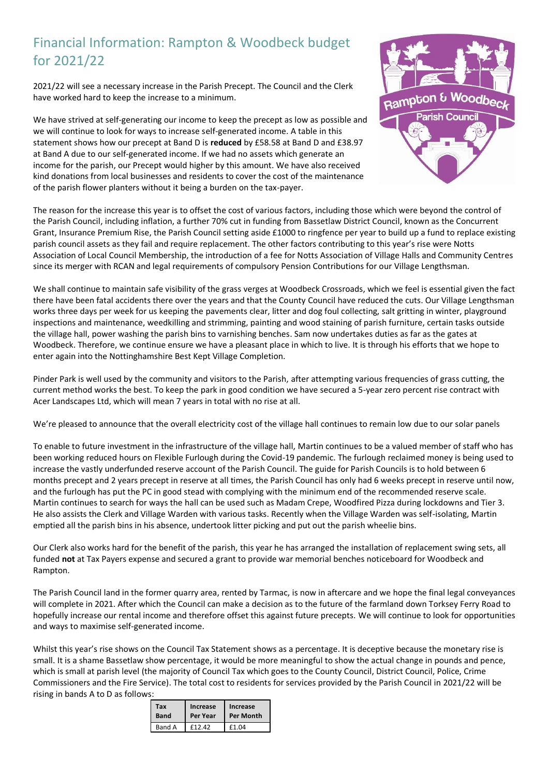## Financial Information: Rampton & Woodbeck budget for 2021/22

2021/22 will see a necessary increase in the Parish Precept. The Council and the Clerk have worked hard to keep the increase to a minimum.

We have strived at self-generating our income to keep the precept as low as possible and we will continue to look for ways to increase self-generated income. A table in this statement shows how our precept at Band D is **reduced** by £58.58 at Band D and £38.97 at Band A due to our self-generated income. If we had no assets which generate an income for the parish, our Precept would higher by this amount. We have also received kind donations from local businesses and residents to cover the cost of the maintenance of the parish flower planters without it being a burden on the tax-payer.



The reason for the increase this year is to offset the cost of various factors, including those which were beyond the control of the Parish Council, including inflation, a further 70% cut in funding from Bassetlaw District Council, known as the Concurrent Grant, Insurance Premium Rise, the Parish Council setting aside £1000 to ringfence per year to build up a fund to replace existing parish council assets as they fail and require replacement. The other factors contributing to this year's rise were Notts Association of Local Council Membership, the introduction of a fee for Notts Association of Village Halls and Community Centres since its merger with RCAN and legal requirements of compulsory Pension Contributions for our Village Lengthsman.

We shall continue to maintain safe visibility of the grass verges at Woodbeck Crossroads, which we feel is essential given the fact there have been fatal accidents there over the years and that the County Council have reduced the cuts. Our Village Lengthsman works three days per week for us keeping the pavements clear, litter and dog foul collecting, salt gritting in winter, playground inspections and maintenance, weedkilling and strimming, painting and wood staining of parish furniture, certain tasks outside the village hall, power washing the parish bins to varnishing benches. Sam now undertakes duties as far as the gates at Woodbeck. Therefore, we continue ensure we have a pleasant place in which to live. It is through his efforts that we hope to enter again into the Nottinghamshire Best Kept Village Completion.

Pinder Park is well used by the community and visitors to the Parish, after attempting various frequencies of grass cutting, the current method works the best. To keep the park in good condition we have secured a 5-year zero percent rise contract with Acer Landscapes Ltd, which will mean 7 years in total with no rise at all.

We're pleased to announce that the overall electricity cost of the village hall continues to remain low due to our solar panels

To enable to future investment in the infrastructure of the village hall, Martin continues to be a valued member of staff who has been working reduced hours on Flexible Furlough during the Covid-19 pandemic. The furlough reclaimed money is being used to increase the vastly underfunded reserve account of the Parish Council. The guide for Parish Councils is to hold between 6 months precept and 2 years precept in reserve at all times, the Parish Council has only had 6 weeks precept in reserve until now, and the furlough has put the PC in good stead with complying with the minimum end of the recommended reserve scale. Martin continues to search for ways the hall can be used such as Madam Crepe, Woodfired Pizza during lockdowns and Tier 3. He also assists the Clerk and Village Warden with various tasks. Recently when the Village Warden was self-isolating, Martin emptied all the parish bins in his absence, undertook litter picking and put out the parish wheelie bins.

Our Clerk also works hard for the benefit of the parish, this year he has arranged the installation of replacement swing sets, all funded **not** at Tax Payers expense and secured a grant to provide war memorial benches noticeboard for Woodbeck and Rampton.

The Parish Council land in the former quarry area, rented by Tarmac, is now in aftercare and we hope the final legal conveyances will complete in 2021. After which the Council can make a decision as to the future of the farmland down Torksey Ferry Road to hopefully increase our rental income and therefore offset this against future precepts. We will continue to look for opportunities and ways to maximise self-generated income.

Whilst this year's rise shows on the Council Tax Statement shows as a percentage. It is deceptive because the monetary rise is small. It is a shame Bassetlaw show percentage, it would be more meaningful to show the actual change in pounds and pence, which is small at parish level (the majority of Council Tax which goes to the County Council, District Council, Police, Crime Commissioners and the Fire Service). The total cost to residents for services provided by the Parish Council in 2021/22 will be rising in bands A to D as follows:

| Тах           | Increase           | Increase  |
|---------------|--------------------|-----------|
| <b>Band</b>   | Per Year           | Per Month |
| <b>Band A</b> | F <sub>12</sub> 42 | £1 N4     |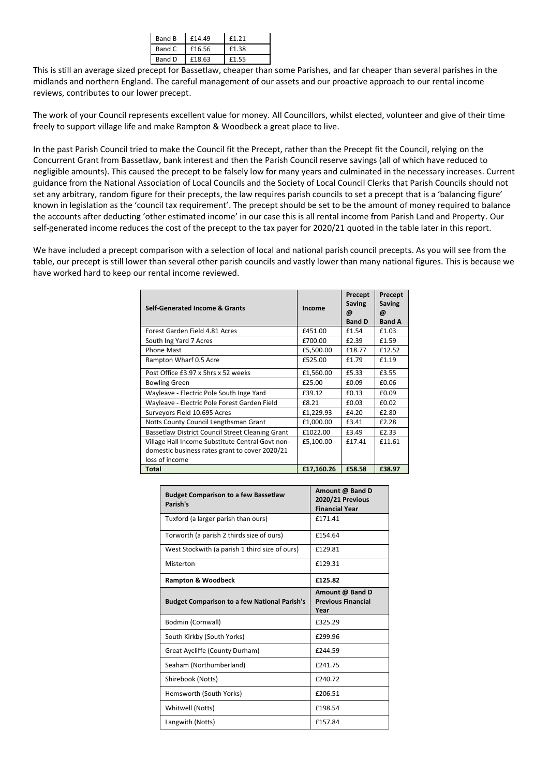| Band B | £14.49 | £1.21 |
|--------|--------|-------|
| Band C | £16.56 | £1.38 |
| Band D | £18.63 | £1.55 |
|        |        |       |

This is still an average sized precept for Bassetlaw, cheaper than some Parishes, and far cheaper than several parishes in the midlands and northern England. The careful management of our assets and our proactive approach to our rental income reviews, contributes to our lower precept.

The work of your Council represents excellent value for money. All Councillors, whilst elected, volunteer and give of their time freely to support village life and make Rampton & Woodbeck a great place to live.

In the past Parish Council tried to make the Council fit the Precept, rather than the Precept fit the Council, relying on the Concurrent Grant from Bassetlaw, bank interest and then the Parish Council reserve savings (all of which have reduced to negligible amounts). This caused the precept to be falsely low for many years and culminated in the necessary increases. Current guidance from the National Association of Local Councils and the Society of Local Council Clerks that Parish Councils should not set any arbitrary, random figure for their precepts, the law requires parish councils to set a precept that is a 'balancing figure' known in legislation as the 'council tax requirement'. The precept should be set to be the amount of money required to balance the accounts after deducting 'other estimated income' in our case this is all rental income from Parish Land and Property. Our self-generated income reduces the cost of the precept to the tax payer for 2020/21 quoted in the table later in this report.

We have included a precept comparison with a selection of local and national parish council precepts. As you will see from the table, our precept is still lower than several other parish councils and vastly lower than many national figures. This is because we have worked hard to keep our rental income reviewed.

| <b>Self-Generated Income &amp; Grants</b>        | Income     | Precept<br><b>Saving</b><br>@<br><b>Band D</b> | Precept<br><b>Saving</b><br>@<br><b>Band A</b> |
|--------------------------------------------------|------------|------------------------------------------------|------------------------------------------------|
| Forest Garden Field 4.81 Acres                   | £451.00    | £1.54                                          | £1.03                                          |
| South Ing Yard 7 Acres                           | £700.00    | £2.39                                          | £1.59                                          |
| <b>Phone Mast</b>                                | £5,500.00  | £18.77                                         | £12.52                                         |
| Rampton Wharf 0.5 Acre                           | £525.00    | £1.79                                          | £1.19                                          |
| Post Office £3.97 x 5hrs x 52 weeks              | £1,560.00  | £5.33                                          | £3.55                                          |
| <b>Bowling Green</b>                             | £25.00     | £0.09                                          | £0.06                                          |
| Wayleave - Electric Pole South Inge Yard         | £39.12     | £0.13                                          | £0.09                                          |
| Wayleave - Electric Pole Forest Garden Field     | £8.21      | £0.03                                          | £0.02                                          |
| Surveyors Field 10.695 Acres                     | £1,229.93  | £4.20                                          | £2.80                                          |
| Notts County Council Lengthsman Grant            | £1.000.00  | £3.41                                          | £2.28                                          |
| Bassetlaw District Council Street Cleaning Grant | £1022.00   | £3.49                                          | £2.33                                          |
| Village Hall Income Substitute Central Govt non- | £5,100.00  | £17.41                                         | £11.61                                         |
| domestic business rates grant to cover 2020/21   |            |                                                |                                                |
| loss of income                                   |            |                                                |                                                |
| <b>Total</b>                                     | £17,160.26 | £58.58                                         | £38.97                                         |

| <b>Budget Comparison to a few Bassetlaw</b><br>Parish's | Amount @ Band D<br><b>2020/21 Previous</b><br><b>Financial Year</b> |
|---------------------------------------------------------|---------------------------------------------------------------------|
| Tuxford (a larger parish than ours)                     | f171.41                                                             |
| Torworth (a parish 2 thirds size of ours)               | £154.64                                                             |
| West Stockwith (a parish 1 third size of ours)          | £129.81                                                             |
| Misterton                                               | £129.31                                                             |
| <b>Rampton &amp; Woodbeck</b>                           | £125.82                                                             |
| <b>Budget Comparison to a few National Parish's</b>     | Amount @ Band D<br><b>Previous Financial</b><br>Year                |
| Bodmin (Cornwall)                                       | £325.29                                                             |
| South Kirkby (South Yorks)                              | £299.96                                                             |
| Great Aycliffe (County Durham)                          | £244.59                                                             |
| Seaham (Northumberland)                                 | £241.75                                                             |
| Shirebook (Notts)                                       | £240.72                                                             |
| Hemsworth (South Yorks)                                 | £206.51                                                             |
| Whitwell (Notts)                                        | £198.54                                                             |
| Langwith (Notts)                                        | £157.84                                                             |